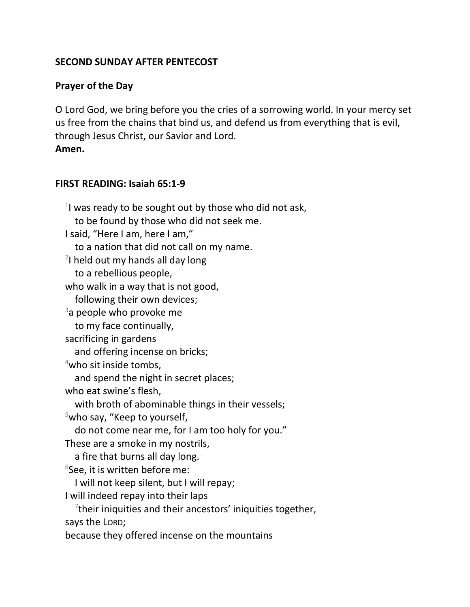# **SECOND SUNDAY AFTER PENTECOST**

## **Prayer of the Day**

O Lord God, we bring before you the cries of a sorrowing world. In your mercy set us free from the chains that bind us, and defend us from everything that is evil, through Jesus Christ, our Savior and Lord.

**Amen.**

### **FIRST READING: Isaiah 65:1-9**

 $1$ I was ready to be sought out by those who did not ask, to be found by those who did not seek me. I said, "Here I am, here I am," to a nation that did not call on my name.  $2$ I held out my hands all day long to a rebellious people, who walk in a way that is not good, following their own devices;  $3a$  people who provoke me to my face continually, sacrificing in gardens and offering incense on bricks;  $4$ who sit inside tombs, and spend the night in secret places; who eat swine's flesh, with broth of abominable things in their vessels;  $5$ who say, "Keep to yourself, do not come near me, for I am too holy for you." These are a smoke in my nostrils, a fire that burns all day long. 6 See, it is written before me: I will not keep silent, but I will repay; I will indeed repay into their laps  $7$ their iniquities and their ancestors' iniquities together, says the LORD; because they offered incense on the mountains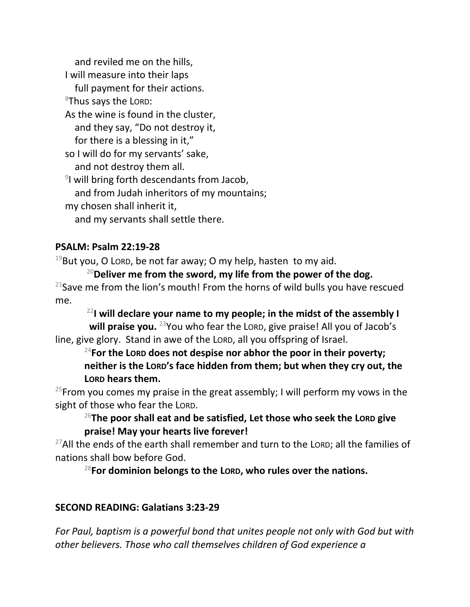and reviled me on the hills, I will measure into their laps full payment for their actions.  $8$ Thus says the LORD: As the wine is found in the cluster, and they say, "Do not destroy it, for there is a blessing in it," so I will do for my servants' sake, and not destroy them all. <sup>9</sup>I will bring forth descendants from Jacob, and from Judah inheritors of my mountains; my chosen shall inherit it, and my servants shall settle there.

## **PSALM: Psalm 22:19-28**

 $19$ But you, O LORD, be not far away; O my help, hasten to my aid.

<sup>20</sup>**Deliver me from the sword, my life from the power of the dog.**  $21$ Save me from the lion's mouth! From the horns of wild bulls you have rescued me.

<sup>22</sup>**I will declare your name to my people; in the midst of the assembly I will praise you.** <sup>23</sup>You who fear the LORD, give praise! All you of Jacob's line, give glory. Stand in awe of the LORD, all you offspring of Israel.

<sup>24</sup>**For the LORD does not despise nor abhor the poor in their poverty; neither is the LORD's face hidden from them; but when they cry out, the LORD hears them.**

<sup>25</sup>From you comes my praise in the great assembly; I will perform my vows in the sight of those who fear the LORD.

<sup>26</sup>**The poor shall eat and be satisfied, Let those who seek the LORD give praise! May your hearts live forever!**

 $27$ All the ends of the earth shall remember and turn to the LORD; all the families of nations shall bow before God.

<sup>28</sup>**For dominion belongs to the LORD, who rules over the nations.**

### **SECOND READING: Galatians 3:23-29**

*For Paul, baptism is a powerful bond that unites people not only with God but with other believers. Those who call themselves children of God experience a*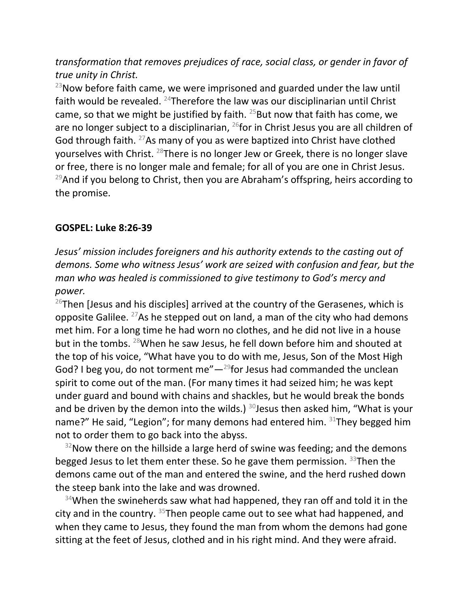*transformation that removes prejudices of race, social class, or gender in favor of true unity in Christ.*

 $^{23}$ Now before faith came, we were imprisoned and guarded under the law until faith would be revealed. <sup>24</sup>Therefore the law was our disciplinarian until Christ came, so that we might be justified by faith.  $25$ But now that faith has come, we are no longer subject to a disciplinarian,  $^{26}$  for in Christ Jesus you are all children of God through faith. <sup>27</sup>As many of you as were baptized into Christ have clothed yourselves with Christ. <sup>28</sup>There is no longer Jew or Greek, there is no longer slave or free, there is no longer male and female; for all of you are one in Christ Jesus.  $29$ And if you belong to Christ, then you are Abraham's offspring, heirs according to the promise.

#### **GOSPEL: Luke 8:26-39**

*Jesus' mission includes foreigners and his authority extends to the casting out of demons. Some who witness Jesus' work are seized with confusion and fear, but the man who was healed is commissioned to give testimony to God's mercy and power.*

 $26$ Then [Jesus and his disciples] arrived at the country of the Gerasenes, which is opposite Galilee.  $27$ As he stepped out on land, a man of the city who had demons met him. For a long time he had worn no clothes, and he did not live in a house but in the tombs. <sup>28</sup>When he saw Jesus, he fell down before him and shouted at the top of his voice, "What have you to do with me, Jesus, Son of the Most High God? I beg you, do not torment me" $-$ <sup>29</sup>for Jesus had commanded the unclean spirit to come out of the man. (For many times it had seized him; he was kept under guard and bound with chains and shackles, but he would break the bonds and be driven by the demon into the wilds.)  $30$  Jesus then asked him, "What is your name?" He said, "Legion"; for many demons had entered him. 31They begged him not to order them to go back into the abyss.

 $32$ Now there on the hillside a large herd of swine was feeding; and the demons begged Jesus to let them enter these. So he gave them permission.  $33$ Then the demons came out of the man and entered the swine, and the herd rushed down the steep bank into the lake and was drowned.

 $34$ When the swineherds saw what had happened, they ran off and told it in the city and in the country. <sup>35</sup>Then people came out to see what had happened, and when they came to Jesus, they found the man from whom the demons had gone sitting at the feet of Jesus, clothed and in his right mind. And they were afraid.